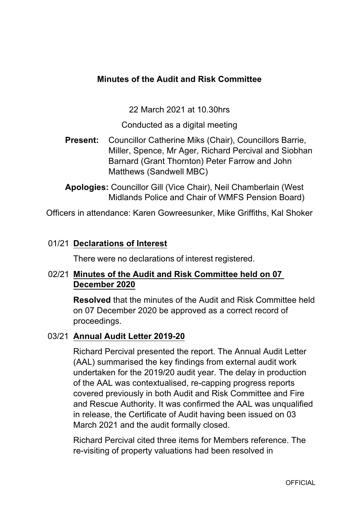# **Minutes of the Audit and Risk Committee**

22 March 2021 at 10.30hrs

Conducted as a digital meeting

**Present:** Councillor Catherine Miks (Chair), Councillors Barrie, Miller, Spence, Mr Ager, Richard Percival and Siobhan Barnard (Grant Thornton) Peter Farrow and John Matthews (Sandwell MBC)

**Apologies:** Councillor Gill (Vice Chair), Neil Chamberlain (West Midlands Police and Chair of WMFS Pension Board)

Officers in attendance: Karen Gowreesunker, Mike Griffiths, Kal Shoker

### 01/21 **Declarations of Interest**

There were no declarations of interest registered.

# 02/21 **Minutes of the Audit and Risk Committee held on 07 December 2020**

**Resolved** that the minutes of the Audit and Risk Committee held on 07 December 2020 be approved as a correct record of proceedings.

#### 03/21 **Annual Audit Letter 201920**

Richard Percival presented the report. The Annual Audit Letter (AAL) summarised the key findings from external audit work undertaken for the 2019/20 audit year. The delay in production of the AAL was contextualised, re-capping progress reports covered previously in both Audit and Risk Committee and Fire and Rescue Authority. It was confirmed the AAL was unqualified in release, the Certificate of Audit having been issued on 03 March 2021 and the audit formally closed.

Richard Percival cited three items for Members reference. The re-visiting of property valuations had been resolved in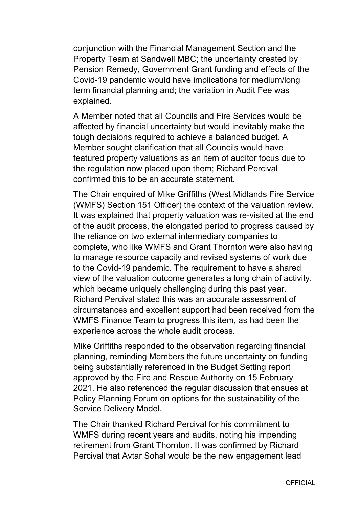conjunction with the Financial Management Section and the Property Team at Sandwell MBC; the uncertainty created by Pension Remedy, Government Grant funding and effects of the Covid-19 pandemic would have implications for medium/long term financial planning and; the variation in Audit Fee was explained.

A Member noted that all Councils and Fire Services would be affected by financial uncertainty but would inevitably make the tough decisions required to achieve a balanced budget. A Member sought clarification that all Councils would have featured property valuations as an item of auditor focus due to the regulation now placed upon them; Richard Percival confirmed this to be an accurate statement.

The Chair enquired of Mike Griffiths (West Midlands Fire Service (WMFS) Section 151 Officer) the context of the valuation review. It was explained that property valuation was re-visited at the end of the audit process, the elongated period to progress caused by the reliance on two external intermediary companies to complete, who like WMFS and Grant Thornton were also having to manage resource capacity and revised systems of work due to the Covid-19 pandemic. The requirement to have a shared view of the valuation outcome generates a long chain of activity, which became uniquely challenging during this past year. Richard Percival stated this was an accurate assessment of circumstances and excellent support had been received from the WMFS Finance Team to progress this item, as had been the experience across the whole audit process.

Mike Griffiths responded to the observation regarding financial planning, reminding Members the future uncertainty on funding being substantially referenced in the Budget Setting report approved by the Fire and Rescue Authority on 15 February 2021. He also referenced the regular discussion that ensues at Policy Planning Forum on options for the sustainability of the Service Delivery Model.

The Chair thanked Richard Percival for his commitment to WMFS during recent years and audits, noting his impending retirement from Grant Thornton. It was confirmed by Richard Percival that Avtar Sohal would be the new engagement lead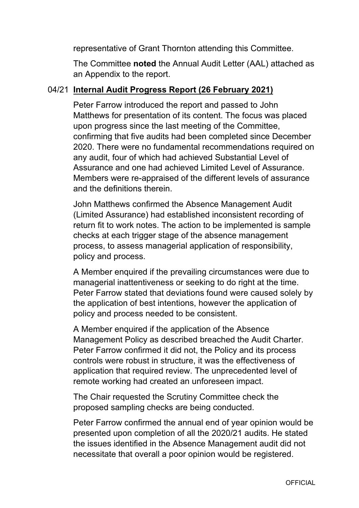representative of Grant Thornton attending this Committee.

The Committee **noted** the Annual Audit Letter (AAL) attached as an Appendix to the report.

## 04/21 **Internal Audit Progress Report (26 February 2021)**

Peter Farrow introduced the report and passed to John Matthews for presentation of its content. The focus was placed upon progress since the last meeting of the Committee, confirming that five audits had been completed since December 2020. There were no fundamental recommendations required on any audit, four of which had achieved Substantial Level of Assurance and one had achieved Limited Level of Assurance. Members were re-appraised of the different levels of assurance and the definitions therein.

John Matthews confirmed the Absence Management Audit (Limited Assurance) had established inconsistent recording of return fit to work notes. The action to be implemented is sample checks at each trigger stage of the absence management process, to assess managerial application of responsibility, policy and process.

A Member enquired if the prevailing circumstances were due to managerial inattentiveness or seeking to do right at the time. Peter Farrow stated that deviations found were caused solely by the application of best intentions, however the application of policy and process needed to be consistent.

A Member enquired if the application of the Absence Management Policy as described breached the Audit Charter. Peter Farrow confirmed it did not, the Policy and its process controls were robust in structure, it was the effectiveness of application that required review. The unprecedented level of remote working had created an unforeseen impact.

The Chair requested the Scrutiny Committee check the proposed sampling checks are being conducted.

Peter Farrow confirmed the annual end of year opinion would be presented upon completion of all the 2020/21 audits. He stated the issues identified in the Absence Management audit did not necessitate that overall a poor opinion would be registered.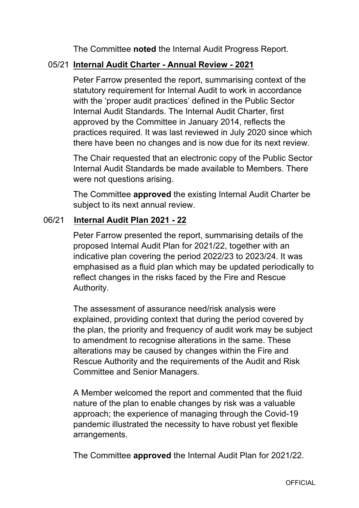The Committee **noted** the Internal Audit Progress Report.

## 05/21 **Internal Audit Charter Annual Review 2021**

Peter Farrow presented the report, summarising context of the statutory requirement for Internal Audit to work in accordance with the 'proper audit practices' defined in the Public Sector Internal Audit Standards. The Internal Audit Charter, first approved by the Committee in January 2014, reflects the practices required. It was last reviewed in July 2020 since which there have been no changes and is now due for its next review.

The Chair requested that an electronic copy of the Public Sector Internal Audit Standards be made available to Members. There were not questions arising.

The Committee **approved** the existing Internal Audit Charter be subject to its next annual review.

### 06/21 **Internal Audit Plan 2021 22**

Peter Farrow presented the report, summarising details of the proposed Internal Audit Plan for 2021/22, together with an indicative plan covering the period 2022/23 to 2023/24. It was emphasised as a fluid plan which may be updated periodically to reflect changes in the risks faced by the Fire and Rescue Authority.

The assessment of assurance need/risk analysis were explained, providing context that during the period covered by the plan, the priority and frequency of audit work may be subject to amendment to recognise alterations in the same. These alterations may be caused by changes within the Fire and Rescue Authority and the requirements of the Audit and Risk Committee and Senior Managers.

A Member welcomed the report and commented that the fluid nature of the plan to enable changes by risk was a valuable approach; the experience of managing through the Covid-19 pandemic illustrated the necessity to have robust yet flexible arrangements.

The Committee **approved** the Internal Audit Plan for 2021/22.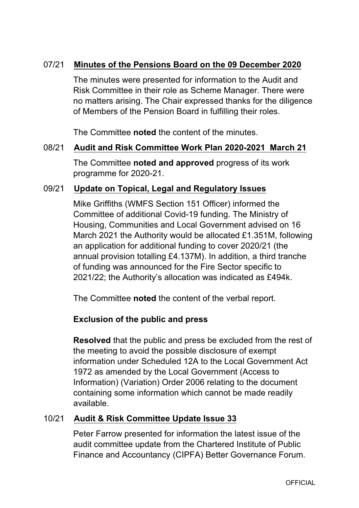## 07/21 **Minutes of the Pensions Board on the 09 December 2020**

The minutes were presented for information to the Audit and Risk Committee in their role as Scheme Manager. There were no matters arising. The Chair expressed thanks for the diligence of Members of the Pension Board in fulfilling their roles.

The Committee **noted** the content of the minutes.

#### 08/21 **Audit and Risk Committee Work Plan 20202021 March 21**

The Committee **noted and approved** progress of its work programme for 2020-21.

#### 09/21 **Update on Topical, Legal and Regulatory Issues**

Mike Griffiths (WMFS Section 151 Officer) informed the Committee of additional Covid-19 funding. The Ministry of Housing, Communities and Local Government advised on 16 March 2021 the Authority would be allocated £1.351M, following an application for additional funding to cover 2020/21 (the annual provision totalling £4.137M). In addition, a third tranche of funding was announced for the Fire Sector specific to 2021/22; the Authority's allocation was indicated as £494k.

The Committee **noted** the content of the verbal report.

# **Exclusion of the public and press**

**Resolved** that the public and press be excluded from the rest of the meeting to avoid the possible disclosure of exempt information under Scheduled 12A to the Local Government Act 1972 as amended by the Local Government (Access to Information) (Variation) Order 2006 relating to the document containing some information which cannot be made readily available.

### 10/21 **Audit & Risk Committee Update Issue 33**

Peter Farrow presented for information the latest issue of the audit committee update from the Chartered Institute of Public Finance and Accountancy (CIPFA) Better Governance Forum.